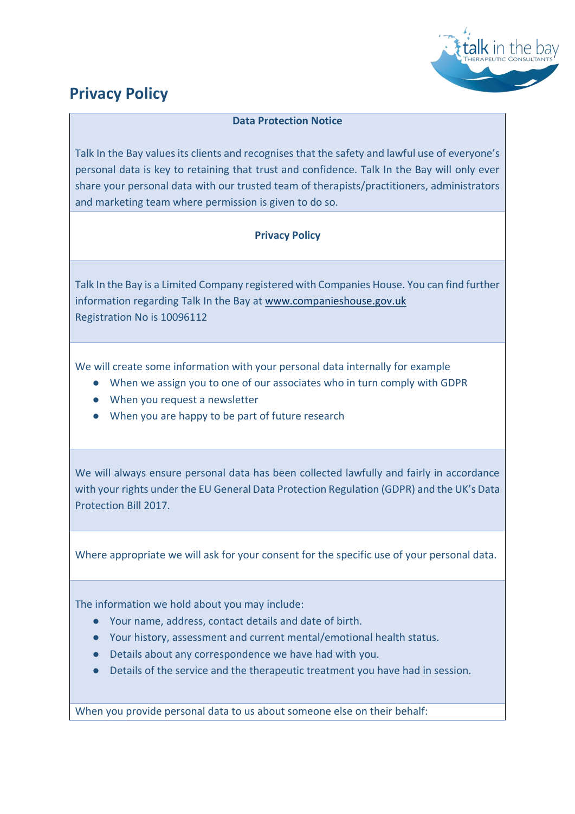

## **Privacy Policy**

## **Data Protection Notice**

Talk In the Bay values its clients and recognises that the safety and lawful use of everyone's personal data is key to retaining that trust and confidence. Talk In the Bay will only ever share your personal data with our trusted team of therapists/practitioners, administrators and marketing team where permission is given to do so.

## **Privacy Policy**

Talk In the Bay is a Limited Company registered with Companies House. You can find further information regarding Talk In the Bay at [www.companieshouse.gov.uk](http://www.companieshouse.gov.uk/) Registration No is 10096112

We will create some information with your personal data internally for example

- When we assign you to one of our associates who in turn comply with GDPR
- When you request a newsletter
- When you are happy to be part of future research

We will always ensure personal data has been collected lawfully and fairly in accordance with your rights under the EU General Data Protection Regulation (GDPR) and the UK's Data Protection Bill 2017.

Where appropriate we will ask for your consent for the specific use of your personal data.

The information we hold about you may include:

- Your name, address, contact details and date of birth.
- Your history, assessment and current mental/emotional health status.
- Details about any correspondence we have had with you.
- Details of the service and the therapeutic treatment you have had in session.

When you provide personal data to us about someone else on their behalf: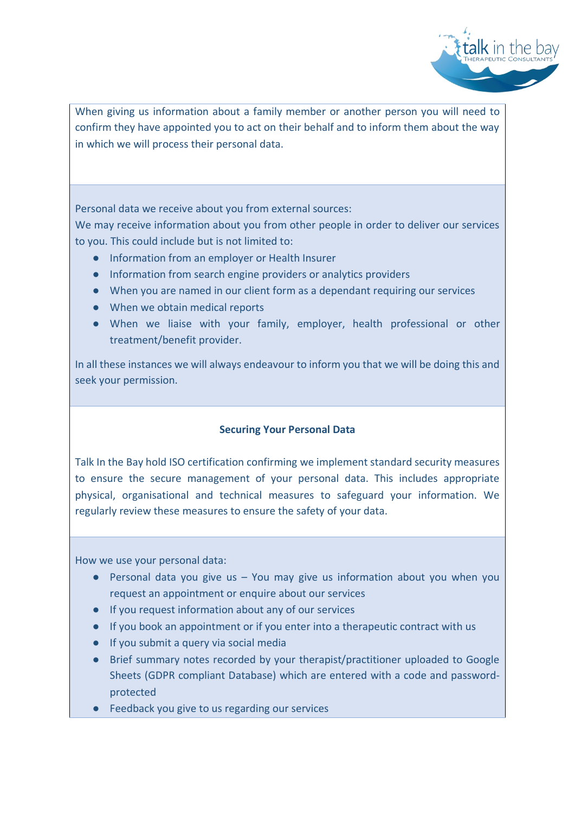

When giving us information about a family member or another person you will need to confirm they have appointed you to act on their behalf and to inform them about the way in which we will process their personal data.

Personal data we receive about you from external sources:

We may receive information about you from other people in order to deliver our services to you. This could include but is not limited to:

- Information from an employer or Health Insurer
- Information from search engine providers or analytics providers
- When you are named in our client form as a dependant requiring our services
- When we obtain medical reports
- When we liaise with your family, employer, health professional or other treatment/benefit provider.

In all these instances we will always endeavour to inform you that we will be doing this and seek your permission.

## **Securing Your Personal Data**

Talk In the Bay hold ISO certification confirming we implement standard security measures to ensure the secure management of your personal data. This includes appropriate physical, organisational and technical measures to safeguard your information. We regularly review these measures to ensure the safety of your data.

How we use your personal data:

- $\bullet$  Personal data you give us You may give us information about you when you request an appointment or enquire about our services
- If you request information about any of our services
- If you book an appointment or if you enter into a therapeutic contract with us
- If you submit a query via social media
- Brief summary notes recorded by your therapist/practitioner uploaded to Google Sheets (GDPR compliant Database) which are entered with a code and passwordprotected
- Feedback you give to us regarding our services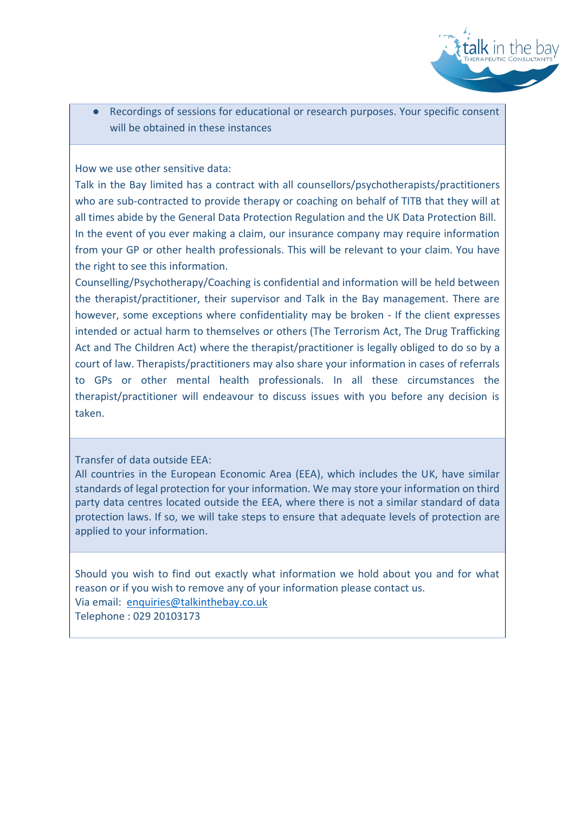

● Recordings of sessions for educational or research purposes. Your specific consent will be obtained in these instances

How we use other sensitive data:

Talk in the Bay limited has a contract with all counsellors/psychotherapists/practitioners who are sub-contracted to provide therapy or coaching on behalf of TITB that they will at all times abide by the General Data Protection Regulation and the UK Data Protection Bill. In the event of you ever making a claim, our insurance company may require information from your GP or other health professionals. This will be relevant to your claim. You have the right to see this information.

Counselling/Psychotherapy/Coaching is confidential and information will be held between the therapist/practitioner, their supervisor and Talk in the Bay management. There are however, some exceptions where confidentiality may be broken - If the client expresses intended or actual harm to themselves or others (The Terrorism Act, The Drug Trafficking Act and The Children Act) where the therapist/practitioner is legally obliged to do so by a court of law. Therapists/practitioners may also share your information in cases of referrals to GPs or other mental health professionals. In all these circumstances the therapist/practitioner will endeavour to discuss issues with you before any decision is taken.

Transfer of data outside EEA:

All countries in the European Economic Area (EEA), which includes the UK, have similar standards of legal protection for your information. We may store your information on third party data centres located outside the EEA, where there is not a similar standard of data protection laws. If so, we will take steps to ensure that adequate levels of protection are applied to your information.

Should you wish to find out exactly what information we hold about you and for what reason or if you wish to remove any of your information please contact us. Via email: [enquiries@talkinthebay.co.uk](mailto:enquiries@talkinthebay.co.uk) Telephone : 029 20103173